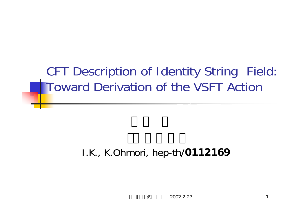# CFT Description of Identity String Field: Toward Derivation of the VSFT Action

### I.K., K.Ohmori, hep-th/**0112169**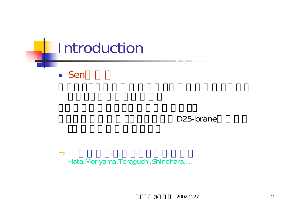

### D25-brane

Hata,Moriyama,Teraguchi,Shinohara,…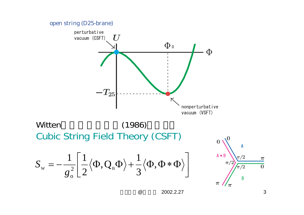

 $\omega$ 2002.2.27 3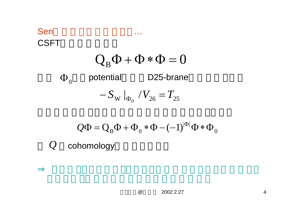## Sen …CSFT  $\Phi_0$  potential D25-brane  $Q_B \Phi + \Phi * \Phi = 0$  $-S_{\rm\scriptscriptstyle W}\left.\right|_{\Phi_0}$  /  $V_{\rm 26}=T_{\rm 25}$

$$
Q\Phi = Q_B\Phi + \Phi_0 * \Phi - (-1)^{|\Phi|}\Phi * \Phi_0
$$

*Q* cohomology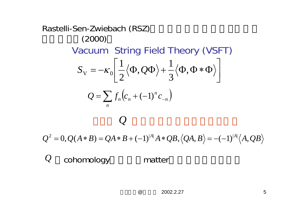Rastelli-Sen-Zwiebach (RSZ)  
\n(2000)  
\nVacuum String Field Theory (VSFT)  
\n
$$
S_{\rm v} = -\kappa_0 \left[ \frac{1}{2} \langle \Phi, Q\Phi \rangle + \frac{1}{3} \langle \Phi, \Phi * \Phi \rangle \right]
$$
\n
$$
Q = \sum_n f_n (c_n + (-1)^n c_{-n})
$$

 $Q^2 = 0, Q(A*B) = QA*B + (-1)^{|A|}A*QB, \langle QA, B \rangle = -(-1)^{|A|} \langle A, QB \rangle$ 

*Q* cohomology matter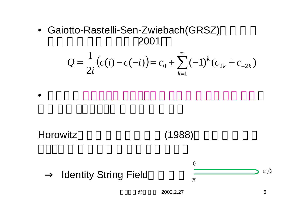• Gaiotto-Rastelli-Sen-Zwiebach(GRSZ) 2001

$$
Q = \frac{1}{2i} (c(i) - c(-i)) = c_0 + \sum_{k=1}^{\infty} (-1)^k (c_{2k} + c_{-2k})
$$

Horowitz

•

(1988)

Identity String Field



 $\omega$ 

2002.2.27 6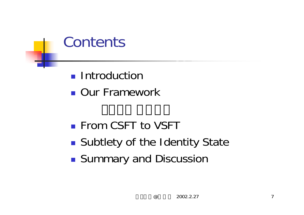

- **Introduction**
- **Dur Framework**

- **From CSFT to VSFT**
- $\mathbb{R}^3$ **Subtlety of the Identity State**
- $\mathbb{R}^3$ **Summary and Discussion**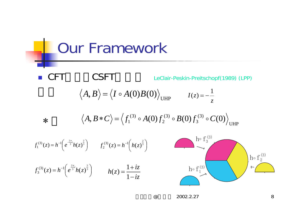Our Framework F CSFT LeClair-Peskin-Preitschopf(1989) (LPP) hº  $\mathrm{f_3^{\,\prime}}$ ho  $\mathrm{f}_1^{(3)}$ hº  $\mathrm{f}_2^{\,\mathrm{\scriptscriptstyle V}}$  $\mathbf 1$  $\circ$  $\circ$  f  $^{(3)}$  $\circ$   $f_2^{(3)}$  $\langle A, B \rangle = \langle I \circ A(0)B(0) \rangle_{\text{UHP}}$   $I(z) = -\frac{1}{z}$ *z* UHP(3) 3 (3) 2 (3)  $\langle A, B\ast C\rangle\!=\!\langle f_1^{\text{\tiny (3)}}\circ A(0) f_2^{\text{\tiny (3)}}\circ B(0) f_3^{\text{\tiny (3)}}\circ C(0)\rangle$  $f_1^{(3)}(z) = h^{-1} \left( e^{\frac{2\pi}{3}} h(z)^{\frac{2}{3}} \right)$   $f_2^{(3)}(z) = h^{-1} \left( h(z)^{\frac{2}{3}} \right)$  $f_3^{(3)}(z) = h^{-1} \left( e^{\frac{2\pi}{3}i} h(z)^{\frac{2}{3}} \right)$   $h(z) = \frac{1 + iz}{1 - iz}$ ∗

@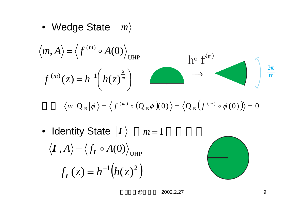• Wedge State *|m* 

$$
\langle m, A \rangle = \langle f^{(m)} \circ A(0) \rangle_{\text{UHP}}
$$
  

$$
f^{(m)}(z) = h^{-1} \left( h(z)^{\frac{2}{m}} \right) \longrightarrow
$$

$$
\langle m | Q_{B} | \phi \rangle = \langle f^{(m)} \circ (Q_{B} \phi)(0) \rangle = \langle Q_{B} (f^{(m)} \circ \phi(0)) \rangle = 0
$$

• Identity State  $|I\rangle$  *m* = 1  $\langle I\,, A\rangle\!=\!\langle f_I\circ A(0)\rangle_{\text{UHP}}$  $f_I(z) = h^{-1}(h(z)^2)$ 

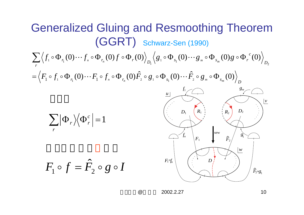Generalized Gluing and Resmoothing Theorem  
\n(GGRT) Schwarz-<sub>sen</sub> (1990)  
\n
$$
\sum_{r} \langle f_i \circ \Phi_{r_i}(0) \cdots f_s \circ \Phi_{r_n}(0) f \circ \Phi_r(0) \rangle_{D_1} \langle g_i \circ \Phi_{s_i}(0) \cdots g_s \circ \Phi_{s_m}(0) g \circ \Phi_r(0) \rangle_{D_2}
$$
\n
$$
= \langle F_i \circ f_i \circ \Phi_{r_i}(0) \cdots F_i \circ f_s \circ \Phi_{r_n}(0) \hat{F}_i \circ g_i \circ \Phi_{s_i}(0) \cdots \hat{F}_i \circ g_s \circ \Phi_{s_m}(0) \rangle_{D_1}
$$
\n
$$
\sum_{r} |\Phi_r \rangle \langle \Phi_r^c | = 1
$$
\n
$$
\sum_{r} |\Phi_r \rangle \langle \Phi_r^c | = 1
$$
\n
$$
F_1 \circ f = \hat{F}_2 \circ g \circ I
$$
\n
$$
\sum_{r} \mathbb{E}_{S_1} \langle \Phi_{r_i}(0) \rangle_{D_1} = \sum_{r} \mathbb{E}_{S_2} \langle \Phi_{r_i}(0) \rangle_{D_2} = \sum_{r} \mathbb{E}_{S_1} \langle \Phi_{r_i}(0) \rangle_{D_1} = \sum_{r} |\Phi_r \rangle_{D_2}
$$
\n
$$
\sum_{r} |\Phi_r \rangle_{D_1} = \sum_{r} |\Phi_r \rangle_{D_2}
$$
\n
$$
\sum_{r} |\Phi_r \rangle_{D_1} = \sum_{r} |\Phi_r \rangle_{D_2}
$$
\n
$$
\sum_{r} |\Phi_r \rangle_{D_1} = \sum_{r} |\Phi_r \rangle_{D_2}
$$
\n
$$
\sum_{r} |\Phi_r \rangle_{D_1} = \sum_{r} |\Phi_r \rangle_{D_2}
$$
\n
$$
\sum_{r} |\Phi_r \rangle_{D_1} = \sum_{r} |\Phi_r \rangle_{D_2}
$$
\n
$$
\sum_{r} |\Phi_r \rangle_{D_1} = \sum_{r} |\Phi_r \rangle_{D_2}
$$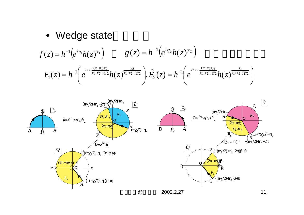### • Wedge state

$$
f(z) = h^{-1} (e^{i\eta_1} h(z)^{\gamma_1}) \qquad g(z) = h^{-1} (e^{i\eta_2} h(z)^{\gamma_2})
$$
  

$$
F_1(z) = h^{-1} (e^{i\pi + i \frac{(\pi - \eta_1)\gamma_2}{\gamma_1 + \gamma_2 - \gamma_1\gamma_2}} h(z)^{\frac{\gamma_2}{\gamma_1 + \gamma_2 - \gamma_1\gamma_2}}), \hat{F}_2(z) = h^{-1} (e^{i2\pi - i \frac{(\pi + \eta_2)\gamma_1}{\gamma_1 + \gamma_2 - \gamma_1\gamma_2}} h(z)^{\frac{\gamma_1}{\gamma_1 + \gamma_2 - \gamma_1\gamma_2}})
$$

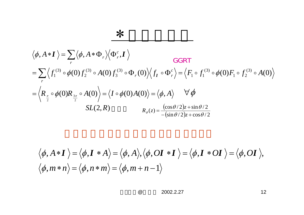$$
\langle \phi, A \ast I \rangle = \sum_{r} \langle \phi, A \ast \Phi_{r} \rangle \langle \Phi_{r}^{c}, I \rangle
$$
  
\n
$$
= \sum_{r} \langle f_{1}^{(3)} \circ \phi(0) f_{2}^{(3)} \circ A(0) f_{3}^{(3)} \circ \Phi_{r}(0) \rangle \langle f_{1} \circ \Phi_{r}^{c} \rangle = \langle F_{1} \circ f_{1}^{(3)} \circ \phi(0) F_{1} \circ f_{2}^{(3)} \circ A(0) \rangle
$$
  
\n
$$
= \langle R_{\frac{\pi}{2}} \circ \phi(0) R_{\frac{3\pi}{2}} \circ A(0) \rangle = \langle I \circ \phi(0) A(0) \rangle = \langle \phi, A \rangle \quad \forall \phi
$$
  
\n
$$
SL(2, R) \qquad R_{\theta}(z) = \frac{(\cos \theta/2)z + \sin \theta/2}{-(\sin \theta/2)z + \cos \theta/2}
$$

∗

$$
\langle \phi, A \ast I \rangle = \langle \phi, I \ast A \rangle = \langle \phi, A \rangle, \langle \phi, OI \ast I \rangle = \langle \phi, I \ast OI \rangle = \langle \phi, OI \rangle,
$$
  

$$
\langle \phi, m \ast n \rangle = \langle \phi, n \ast m \rangle = \langle \phi, m + n - 1 \rangle
$$

@2002.2.27 12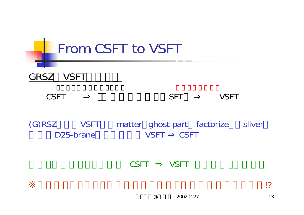

CSFT VSFT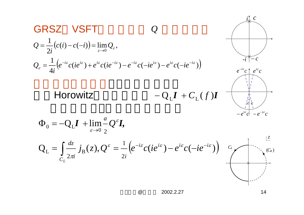

 $\omega$ 2002.2.27 14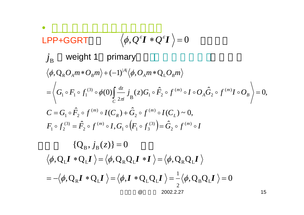#### @ 2002.2.27 15 •LPP+GGRT weight 1 primary  $\langle \phi, Q^{\varepsilon} \mathbf{I} * Q^{\varepsilon} \mathbf{I} \rangle = 0$  $F_{1} \circ f_{2}^{(3)} = \hat{F}_{2} \circ f^{(m)} \circ I, G_{1} \circ \left( F_{1} \circ f_{3}^{(3)} \right) = \hat{G}_{2} \circ f^{(m)} \circ I$  $C = G_1 \circ F_2 \circ f^{(m)} \circ I(C_R) + G_2 \circ f^{(m)} \circ I(C_L)$  $G_1 \circ F_1 \circ f_1^{(3)} \circ \phi(0)$   $\stackrel{\infty}{\longrightarrow} j_{\infty}(z) G_1 \circ F_2 \circ f^{(m)} \circ I \circ O_A G_2 \circ f^{(m)} I \circ O$  $O_{_A}m$   $*$   $O_{_B}m$   $\rangle$  +  $(-1)^{|A|}\langle \phi, O_{_A}m$   $*$   $\mathrm{Q}_{_\mathrm{L}}O_{_B}m$  $\circ$   $f^{(3)}_{0} = \hat{F}_{0} \circ f^{(m)} \circ I$ ,  $G_{1} \circ [F_{1} \circ f^{(3)}_{2}] = \hat{G}_{0} \circ f^{(m)} \circ$  $_{R}$ ) +  $G_{2}$   $\circ$   $f$   $^{(m)}$  $\circ \hat{F}$   $\circ$   $f^{(m)} \circ I(C_n) + \hat{G}$   $\circ$   $f^{(m)} \circ$ *CB*  $_{A}G_{2}\circ f^{\iota m}$ *m*  $\langle A_{A}m\ast O_{B}m\rangle +(-1)^{|A|}\langle\phi, O_{A}m\ast Q_{L}\rangle$ *i dz*  $\circ F_1 \circ f_1^{(3)} \circ \phi(0) \stackrel{az}{\longrightarrow} i^-(z)G_1 \circ \hat{F}_2 \circ f^{(m)} \circ I \circ O_A \hat{G}_2 \circ f^{(m)} I \circ$ 2 (3)  $1 - 1$   $J_3$  $(m)$ 2 (3)  $1 \quad J \quad 2$ 2 $(m)$  $I_1\circ \hat F_2\circ f^{^{(m)}}\circ I(C_{_R})+\hat G_2\circ f^{^{(m)}}\circ I(C_{_L})\thicksim 0,$ 2  $(m)$  $1 - 2$ (3)  $I_1\circ F_1\circ f_1^{(3)}\circ\phi(0)\Big[\stackrel{dz}{\longrightarrow}j_{{}_{\mathrm{D}}}(z)G_1\circ \hat{F}_2\circ f^{(m)}\circ I\circ O_{_{\mathrm{A}}} \hat{G}_2\circ f^{(m)}I\circ O_{_{\mathrm{B}}}\,\Big\rangle\!=0,$  $|A|$  $\langle \phi, \mathbf{Q}_\mathrm{R} O_A m * O_B m \rangle + (-1)^{|A|} \langle \phi, O_A m * \mathbf{Q}_\mathrm{R} \rangle$ ˆ $, \cup_1 \circ (T_1 \circ f_2) = 1$ ˆ $=$   $\Gamma_{\alpha} \circ \Gamma$   $\rightarrow$   $\circ$   $\Gamma_{\alpha} \circ \Gamma_{\alpha} \circ \Gamma_{\alpha} \circ \Gamma_{\alpha}$   $\rightarrow$   $\Gamma_{\alpha} \circ \Gamma_{\alpha}$  $\hat{F}_{\gamma} \circ f^{(m)} \circ I(C_{_R})$  $= G_1 \circ F_2 \circ f^{(m)} \circ I(C_n) +$  $2\pi i$  B = <sup>=</sup>  $\phi(0)\int_{0}^{dz}\frac{dz}{2\pi}$  $J_{\rm B}$  $\langle Q_\mathrm{R}\pmb{I} \,\ast \pmb{Q}_\mathrm{L}\pmb{I}\,\rangle \!=\! \langle \pmb{\phi},\pmb{I} \,\ast \pmb{Q}_\mathrm{L}\pmb{Q}_\mathrm{L}\pmb{I}\,\rangle \!=\! -\langle \pmb{\phi},\pmb{Q}_\mathrm{B}\pmb{Q}_\mathrm{L}\pmb{I}\,\rangle \!=\! 0.$  $\langle Q_{\mathrm{L}} \boldsymbol{I} \ * \boldsymbol{Q}_{\mathrm{L}} \boldsymbol{I} \ \rangle \!=\! \langle \phi, Q_{\mathrm{R}} Q_{\mathrm{L}} \boldsymbol{I} \ * \boldsymbol{I} \ \rangle \!=\! \langle \phi, Q_{\mathrm{R}} Q_{\mathrm{L}} \rangle$ 2 $\langle \phi, Q_{_{\rm R}} \boldsymbol{I} \ast Q_{_{\rm L}} \boldsymbol{I}\ \rangle \!=\! \langle \phi, \boldsymbol{I} \ast Q_{_{\rm L}} Q_{_{\rm L}} \boldsymbol{I}\ \rangle \!=\! \! \frac{1}{2} \langle \phi, Q_{_{\rm B}} Q_{_{\rm L}} \boldsymbol{I}\ \rangle \!=\! \! \frac{1}{2} \langle \phi, Q_{_{\rm B}} Q_{_{\rm L}} \boldsymbol{I}\ \rangle \!=\! \! \frac{1}{2} \langle \phi, Q_{_{\rm B}} Q_{_{\rm L}} \boldsymbol{I}\ \rangle \!=\! \frac{1}{2} \langle \phi, Q_{_{\rm B}} Q_{_{$  $\langle \phi, Q_{\text{L}}I * Q_{\text{L}}I \rangle = \langle \phi, Q_{\text{R}}Q_{\text{L}}I * I \rangle = \langle \phi, Q_{\text{R}}Q_{\text{L}}I \rangle$  ${Q_B, j_B(z)} = 0$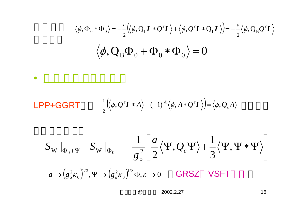$$
\langle \phi, \Phi_0 * \Phi_0 \rangle = -\frac{a}{2} \langle \phi, Q_L I * Q^{\varepsilon} I \rangle + \langle \phi, Q^{\varepsilon} I * Q_L I \rangle \rangle = -\frac{a}{2} \langle \phi, Q_B Q^{\varepsilon} I \rangle
$$

$$
\langle \phi, Q_B \Phi_0 + \Phi_0 * \Phi_0 \rangle = 0
$$

### LPP+GGRT  $\frac{1}{2} \left( \left\langle \phi, Q^{\varepsilon} \mathbf{I} \ast A \right\rangle - (-1)^{|A|} \left\langle \phi, A \ast Q^{\varepsilon} \mathbf{I} \right\rangle \right) = \left\langle \phi, Q_{\varepsilon} A \right\rangle$

•

$$
S_{\mathbf{W}}|_{\Phi_{0}+\Psi} - S_{\mathbf{W}}|_{\Phi_{0}} = -\frac{1}{g_{0}^{2}} \left[ \frac{a}{2} \langle \Psi, Q_{\varepsilon} \Psi \rangle + \frac{1}{3} \langle \Psi, \Psi * \Psi \rangle \right]
$$
  

$$
a \rightarrow (g_{0}^{2} \kappa_{0})^{1/3}, \Psi \rightarrow (g_{0}^{2} \kappa_{0})^{1/3} \Phi, \varepsilon \rightarrow 0 \quad \text{GRSZ} \quad \text{VSFT}
$$

@2002.2.27 16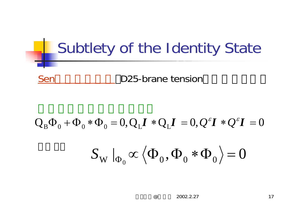# Subtlety of the Identity State SenD25-brane tension

# $\left. S_{_{\mathrm{W}}}\right. \left. \right| _{\Phi_{0}}\propto\left\langle \Phi_{0},\Phi_{0}\ast\Phi_{0}\right\rangle =0$  $Q_{\rm B}\Phi_{0} + \Phi_{0}*\Phi_{0} = 0, Q_{\rm L}I * Q_{\rm L}I = 0, Q^{\varepsilon}I * Q^{\varepsilon}I = 0$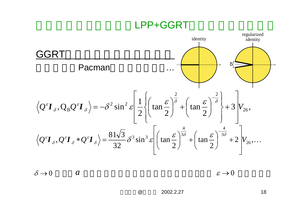### LPP+GGRT



 $\delta \rightarrow$  $\rightarrow 0$  *a*  $\varepsilon \rightarrow 0$ 

 $\circleda$ 2002.2.27 18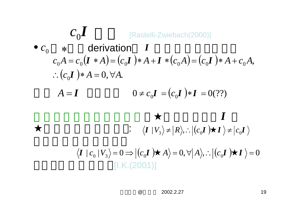$$
c_0 I
$$
  
\n
$$
c_0 * \text{ derivation } I
$$
  
\n
$$
c_0 A = c_0 (I * A) = (c_0 I) * A + I * (c_0 A) = (c_0 I) * A + c_0 A,
$$
  
\n
$$
\therefore (c_0 I) * A = 0, \forall A.
$$
  
\n
$$
A = I
$$
  
\n
$$
0 \neq c_0 I = (c_0 I) * I = 0(??)
$$

$$
\langle \boldsymbol{I} | c_0 | V_3 \rangle = 0 \Longrightarrow | (c_0 \boldsymbol{I}) \quad A \rangle = 0, \forall | A \rangle, \therefore | (c_0 \boldsymbol{I}) \quad \boldsymbol{I} \rangle = 0
$$
  
[1.K.(2001)]

**:**  $\langle I | V_3 \rangle$  ≠  $|R \rangle$ , ∴  $|(c_0 I) I \rangle$  ≠  $|c_0 I$ 

@2002.2.27 19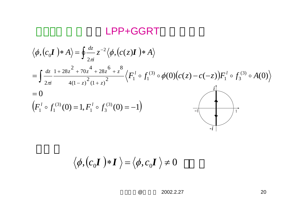### LPP+GGRT

$$
\langle \phi, (c_0 \mathbf{I}) * A \rangle = \oint \frac{dz}{2\pi i} z^{-2} \langle \phi, (c(z) \mathbf{I}) * A \rangle
$$
  
=  $\int \frac{dz}{2\pi i} \frac{1 + 28z^2 + 70z^4 + 28z^6 + z^8}{4(1 - z)^2 (1 + z)^2} \langle F_1^l \circ f_1^{(3)} \circ \phi(0) (c(z) - c(-z)) F_1^l \circ f_3^{(3)} \circ A(0) \rangle$   
= 0  
 $(F_1^l \circ f_1^{(3)}(0) = 1, F_1^l \circ f_3^{(3)}(0) = -1)$ 

$$
\langle \phi, (c_0 \boldsymbol{I}) * \boldsymbol{I} \rangle = \langle \phi, c_0 \boldsymbol{I} \rangle \neq 0
$$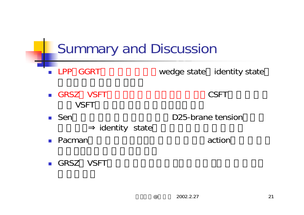# Summary and Discussion

- **LPP GGRT** wedge state identity state
- GRSZ VSFT CSFT **VSFT**
- $\blacksquare$  Sen
- D25-brane tension
- identity state
- $\blacksquare$  Pacman action
	-

GRSZ VSFT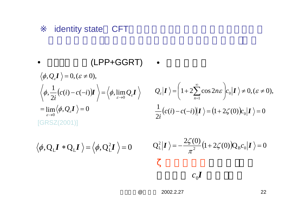### identity state CFT

• **(LPP+GGRT)**  
\n
$$
\langle \phi, Q_{\varepsilon}I \rangle = 0, (\varepsilon \neq 0),
$$
\n
$$
\langle \phi, \frac{1}{2i} (c(i) - c(-i))I \rangle = \langle \phi, \lim_{\varepsilon \to 0} Q_{\varepsilon}I \rangle
$$
\n
$$
Q_{\varepsilon}|I \rangle = \left(1 + 2 \sum_{n=1}^{\infty} \cos 2n\varepsilon \right) c_0|I \rangle \neq 0, (\varepsilon \neq 0),
$$
\n
$$
= \lim_{\varepsilon \to 0} \langle \phi, Q_{\varepsilon}I \rangle = 0
$$
\n[GRSZ(2001)]

$$
\langle \phi, Q_L \mathbf{I} * Q_L \mathbf{I} \rangle = \langle \phi, Q_L^2 \mathbf{I} \rangle = 0
$$
  $Q_L^2 |\mathbf{I} \rangle = -\frac{2\zeta(0)}{\pi^2} (1 + 2\zeta(0)) Q_B c_0 |\mathbf{I} \rangle = 0$ 

 $c_0 I$ 

@2002.2.27 22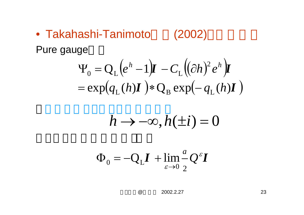• Takahashi-Tanimoto(2002)

Pure gauge

$$
\Psi_0 = Q_L \left( e^h - 1 \right) \mathbf{I} - C_L \left( (\partial h)^2 e^h \right) \mathbf{I}
$$
  
=  $\exp(q_L(h) \mathbf{I}) * Q_B \exp(-q_L(h) \mathbf{I})$ 

$$
h\to-\infty, h(\pm i)=0
$$

$$
\Phi_0 = -Q_L \boldsymbol{I} + \lim_{\varepsilon \to 0} \frac{d}{2} Q^{\varepsilon} \boldsymbol{I}
$$